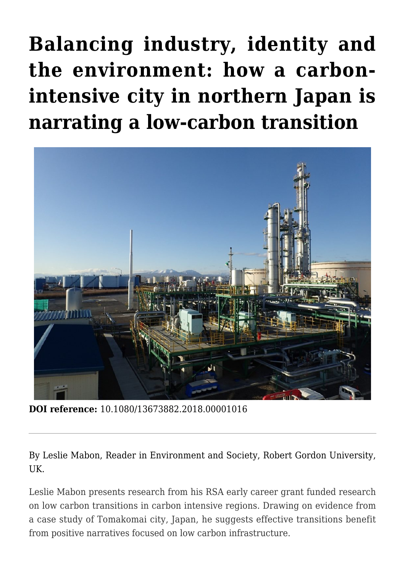**[Balancing industry, identity and](https://regions.regionalstudies.org/ezine/article/balancing-industry-identity-and-the-environment-how-a-carbon-intensive-city-in-northern-japan-is-narrating-a-low-carbon-transition/?doi=10.1080/13673882.2018.00001016) [the environment: how a carbon](https://regions.regionalstudies.org/ezine/article/balancing-industry-identity-and-the-environment-how-a-carbon-intensive-city-in-northern-japan-is-narrating-a-low-carbon-transition/?doi=10.1080/13673882.2018.00001016)[intensive city in northern Japan is](https://regions.regionalstudies.org/ezine/article/balancing-industry-identity-and-the-environment-how-a-carbon-intensive-city-in-northern-japan-is-narrating-a-low-carbon-transition/?doi=10.1080/13673882.2018.00001016) [narrating a low-carbon transition](https://regions.regionalstudies.org/ezine/article/balancing-industry-identity-and-the-environment-how-a-carbon-intensive-city-in-northern-japan-is-narrating-a-low-carbon-transition/?doi=10.1080/13673882.2018.00001016)**



**DOI reference:** 10.1080/13673882.2018.00001016

By [Leslie Mabon](https://scholar.google.co.uk/citations?user=ePpykCwAAAAJ&hl=en), Reader in Environment and Society, Robert Gordon University, UK.

Leslie Mabon presents research from his RSA [early career grant](http://www.regionalstudies.org/funding/report/dr-leslie-james-mabon) funded research on low carbon transitions in carbon intensive regions. Drawing on evidence from a case study of Tomakomai city, Japan, he suggests effective transitions benefit from positive narratives focused on low carbon infrastructure.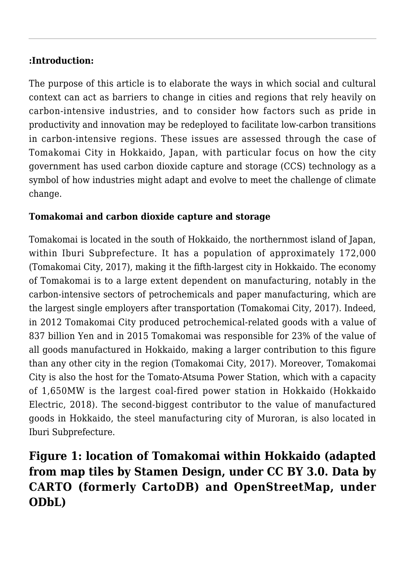### **:Introduction:**

The purpose of this article is to elaborate the ways in which social and cultural context can act as barriers to change in cities and regions that rely heavily on carbon-intensive industries, and to consider how factors such as pride in productivity and innovation may be redeployed to facilitate low-carbon transitions in carbon-intensive regions. These issues are assessed through the case of [Tomakomai City](http://www.city.tomakomai.hokkaido.jp/) in Hokkaido, Japan, with particular focus on how the city government has used carbon dioxide capture and storage (CCS) technology as a symbol of how industries might adapt and evolve to meet the challenge of climate change.

#### **Tomakomai and carbon dioxide capture and storage**

Tomakomai is located in the south of Hokkaido, the northernmost island of Japan, [within Iburi Subprefecture](http://www.wikiwand.com/en/Iburi_Subprefecture). It has a population of approximately 172,000 (Tomakomai City, [2017](http://www.city.tomakomai.hokkaido.jp)), making it the fifth-largest city in Hokkaido. The economy of Tomakomai is to a large extent dependent on manufacturing, notably in the carbon-intensive sectors of petrochemicals and paper manufacturing, which are the largest single employers after transportation (Tomakomai City, 2017). Indeed, in 2012 Tomakomai City produced petrochemical-related goods with a value of 837 billion Yen and in 2015 Tomakomai was responsible for 23% of the value of all goods manufactured in Hokkaido, making a larger contribution to this figure than any other city in the region (Tomakomai City, 2017). Moreover, Tomakomai City is also the host for the Tomato-Atsuma Power Station, which with a capacity of 1,650MW is the largest coal-fired power station in Hokkaido (Hokkaido Electric, 2018). The second-biggest contributor to the value of manufactured goods in Hokkaido, the steel manufacturing city of Muroran, is also located in Iburi Subprefecture.

# **Figure 1: location of Tomakomai within Hokkaido (adapted from map tiles by Stamen Design, under CC BY 3.0. Data by [CARTO](https://carto.com/) (formerly CartoDB) and [OpenStreetMap,](https://www.openstreetmap.org/#map=8/46.825/8.224) under ODbL)**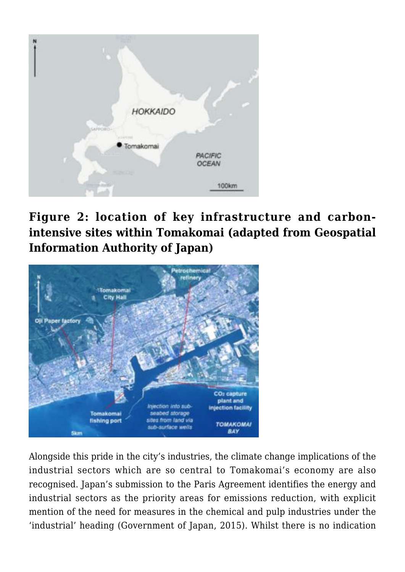

# **Figure 2: location of key infrastructure and carbonintensive sites within Tomakomai (adapted from [Geospatial](http://www.gsi.go.jp/ENGLISH/) [Information Authority of Japan\)](http://www.gsi.go.jp/ENGLISH/)**



Alongside this pride in the city's industries, the climate change implications of the industrial sectors which are so central to Tomakomai's economy are also recognised. Japan's submission to the [Paris Agreement](https://unfccc.int/sites/default/files/english_paris_agreement.pdf) identifies the energy and industrial sectors as the priority areas for emissions reduction, with explicit mention of the need for measures in the chemical and pulp industries under the 'industrial' heading (Government of Japan, 2015). Whilst there is no indication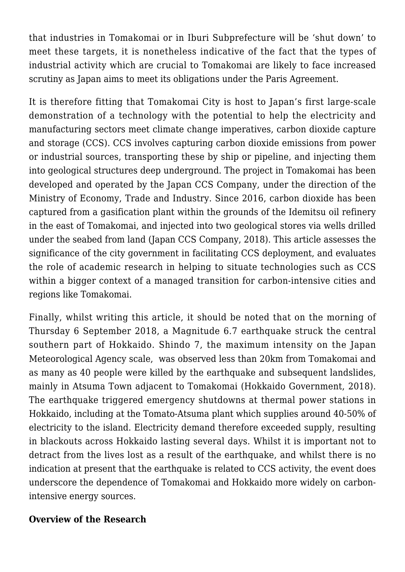that industries in Tomakomai or in Iburi Subprefecture will be 'shut down' to meet these targets, it is nonetheless indicative of the fact that the types of industrial activity which are crucial to Tomakomai are likely to face increased scrutiny as Japan aims to meet its obligations under the Paris Agreement.

It is therefore fitting that Tomakomai City is host to Japan's first large-scale demonstration of a technology with the potential to help the electricity and manufacturing sectors meet climate change imperatives, carbon dioxide capture and storage (CCS). CCS involves capturing carbon dioxide emissions from power or industrial sources, transporting these by ship or pipeline, and injecting them into geological structures deep underground. The project in Tomakomai has been developed and operated by the Japan CCS Company, under the direction of the Ministry of Economy, Trade and Industry. Since 2016, carbon dioxide has been captured from a gasification plant within the grounds of the Idemitsu oil refinery in the east of Tomakomai, and injected into two geological stores via wells drilled under the seabed from land (Japan CCS Company, 2018). This article assesses the significance of the city government in facilitating CCS deployment, and evaluates the role of academic research in helping to situate technologies such as CCS within a bigger context of a managed transition for carbon-intensive cities and regions like Tomakomai.

Finally, whilst writing this article, it should be noted that on the morning of Thursday 6 September 2018, a Magnitude 6.7 earthquake struck the central southern part of Hokkaido. Shindo 7, the maximum intensity on the Japan Meteorological Agency scale, was observed less than 20km from Tomakomai and as many as 40 people were killed by the earthquake and subsequent landslides, mainly in Atsuma Town adjacent to Tomakomai (Hokkaido Government, 2018). The earthquake triggered emergency shutdowns at thermal power stations in Hokkaido, including at the Tomato-Atsuma plant which supplies around 40-50% of electricity to the island. Electricity demand therefore exceeded supply, resulting in blackouts across Hokkaido lasting several days. Whilst it is important not to detract from the lives lost as a result of the earthquake, and whilst there is no indication at present that the earthquake is related to CCS activity, the event does underscore the dependence of Tomakomai and Hokkaido more widely on carbonintensive energy sources.

### **Overview of the Research**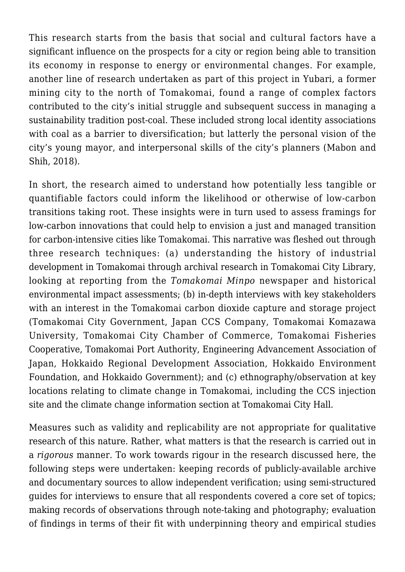This research starts from the basis that social and cultural factors have a significant influence on the prospects for a city or region being able to transition its economy in response to energy or environmental changes. For example, another line of research undertaken as part of this project in Yubari, a former mining city to the north of Tomakomai, found a range of complex factors contributed to the city's initial struggle and subsequent success in managing a sustainability tradition post-coal. These included strong local identity associations with coal as a barrier to diversification; but latterly the personal vision of the city's young mayor, and interpersonal skills of the city's planners (Mabon and Shih, [2018\)](https://doi.org/10.1080/1523908X.2018.1443004).

In short, the research aimed to understand how potentially less tangible or quantifiable factors could inform the likelihood or otherwise of low-carbon transitions taking root. These insights were in turn used to assess framings for low-carbon innovations that could help to envision a just and managed transition for carbon-intensive cities like Tomakomai. This narrative was fleshed out through three research techniques: (a) understanding the history of industrial development in Tomakomai through archival research in Tomakomai City Library, looking at reporting from the *Tomakomai Minpo* newspaper and historical environmental impact assessments; (b) in-depth interviews with key stakeholders with an interest in the Tomakomai carbon dioxide capture and storage project (Tomakomai City Government, [Japan CCS Company](http://www.japanccs.com/?lang=en), Tomakomai Komazawa University, Tomakomai City Chamber of Commerce, Tomakomai Fisheries Cooperative, Tomakomai Port Authority, Engineering Advancement Association of Japan, Hokkaido Regional Development Association, Hokkaido Environment Foundation, and Hokkaido Government); and (c) ethnography/observation at key locations relating to climate change in Tomakomai, including the CCS injection site and the climate change information section at Tomakomai City Hall.

Measures such as validity and replicability are not appropriate for qualitative research of this nature. Rather, what matters is that the research is carried out in a *rigorous* manner. To work towards rigour in the research discussed here, the following steps were undertaken: keeping records of publicly-available archive and documentary sources to allow independent verification; using semi-structured guides for interviews to ensure that all respondents covered a core set of topics; making records of observations through note-taking and photography; evaluation of findings in terms of their fit with underpinning theory and empirical studies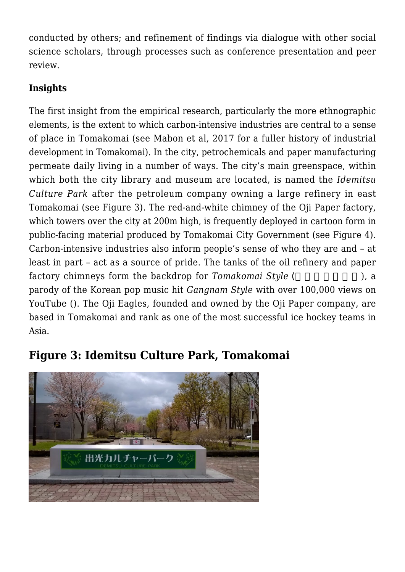conducted by others; and refinement of findings via dialogue with other social science scholars, through processes such as conference presentation and peer review.

## **Insights**

The first insight from the empirical research, particularly the more ethnographic elements, is the extent to which carbon-intensive industries are central to a sense of place in Tomakomai (see Mabon et al, [2017](https://doi.org/10.1016/j.marpol.2017.06.015) for a fuller history of industrial development in Tomakomai). In the city, petrochemicals and paper manufacturing permeate daily living in a number of ways. The city's main greenspace, within which both the city library and museum are located, is named the *Idemitsu Culture Park* after the petroleum company owning a large refinery in east Tomakomai (see Figure 3). The red-and-white chimney of the Oji Paper factory, which towers over the city at 200m high, is frequently deployed in cartoon form in public-facing material produced by Tomakomai City Government (see Figure 4). Carbon-intensive industries also inform people's sense of who they are and – at least in part – act as a source of pride. The tanks of the oil refinery and paper factory chimneys form the backdrop for *Tomakomai Style* (and interval ), a parody of the Korean pop music hit *Gangnam Style* with over 100,000 views on [YouTube](https://www.youtube.com/watch?v=53GdMTwxydE) (). The Oji Eagles, founded and owned by the Oji Paper company, are based in Tomakomai and rank as one of the most successful ice hockey teams in Asia.



# **Figure 3: Idemitsu Culture Park, Tomakomai**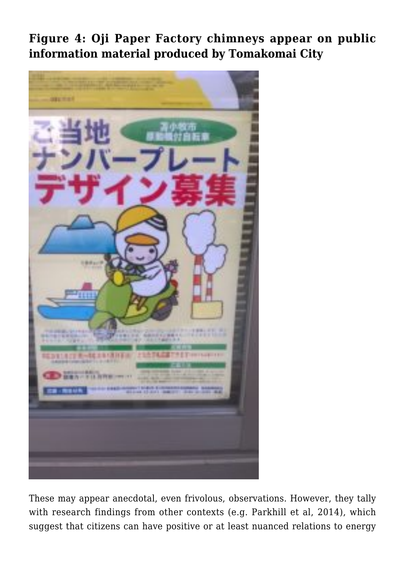**Figure 4: Oji Paper Factory chimneys appear on public information material produced by Tomakomai City**



These may appear anecdotal, even frivolous, observations. However, they tally with research findings from other contexts (e.g. Parkhill et al, [2014\)](https://doi.org/10.1080/01426397.2013.775232), which suggest that citizens can have positive or at least nuanced relations to energy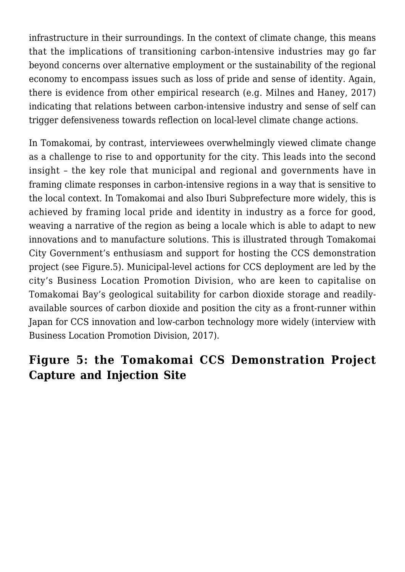infrastructure in their surroundings. In the context of climate change, this means that the implications of transitioning carbon-intensive industries may go far beyond concerns over alternative employment or the sustainability of the regional economy to encompass issues such as loss of pride and sense of identity. Again, there is evidence from other empirical research (e.g. Milnes and Haney, [2017](https://doi.org/10.1080/23251042.2017.1295837)) indicating that relations between carbon-intensive industry and sense of self can trigger defensiveness towards reflection on local-level climate change actions.

In Tomakomai, by contrast, interviewees overwhelmingly viewed climate change as a challenge to rise to and opportunity for the city. This leads into the second insight – the key role that municipal and regional and governments have in framing climate responses in carbon-intensive regions in a way that is sensitive to the local context. In Tomakomai and also Iburi Subprefecture more widely, this is achieved by framing local pride and identity in industry as a force for good, weaving a narrative of the region as being a locale which is able to adapt to new innovations and to manufacture solutions. This is illustrated through Tomakomai City Government's enthusiasm and support for hosting the CCS demonstration project (see Figure.5). Municipal-level actions for CCS deployment are led by the city's Business Location Promotion Division, who are keen to capitalise on Tomakomai Bay's geological suitability for carbon dioxide storage and readilyavailable sources of carbon dioxide and position the city as a front-runner within Japan for CCS innovation and low-carbon technology more widely (interview with Business Location Promotion Division, 2017).

## **Figure 5: the Tomakomai CCS Demonstration Project Capture and Injection Site**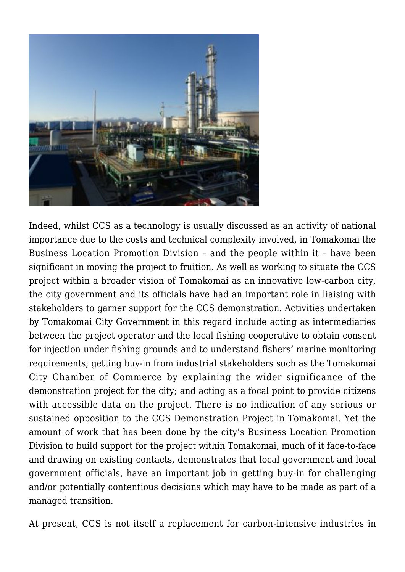

Indeed, whilst CCS as a technology is usually discussed as an activity of national importance due to the costs and technical complexity involved, in Tomakomai the Business Location Promotion Division – and the people within it – have been significant in moving the project to fruition. As well as working to situate the CCS project within a broader vision of Tomakomai as an innovative low-carbon city, the city government and its officials have had an important role in liaising with stakeholders to garner support for the CCS demonstration. Activities undertaken by Tomakomai City Government in this regard include acting as intermediaries between the project operator and the local fishing cooperative to obtain consent for injection under fishing grounds and to understand fishers' marine monitoring requirements; getting buy-in from industrial stakeholders such as the Tomakomai City Chamber of Commerce by explaining the wider significance of the demonstration project for the city; and acting as a focal point to provide citizens with accessible data on the project. There is no indication of any serious or sustained opposition to the CCS Demonstration Project in Tomakomai. Yet the amount of work that has been done by the city's Business Location Promotion Division to build support for the project within Tomakomai, much of it face-to-face and drawing on existing contacts, demonstrates that local government and local government officials, have an important job in getting buy-in for challenging and/or potentially contentious decisions which may have to be made as part of a managed transition.

At present, CCS is not itself a replacement for carbon-intensive industries in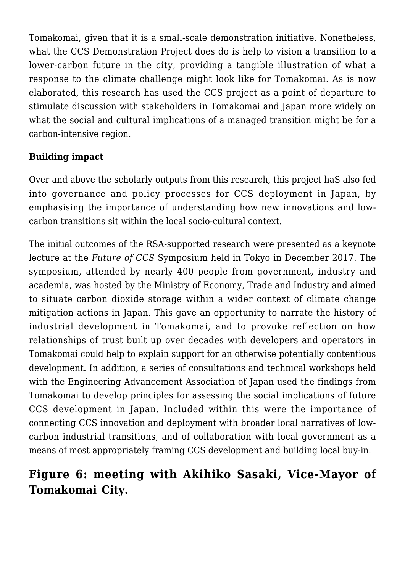Tomakomai, given that it is a small-scale demonstration initiative. Nonetheless, what the CCS Demonstration Project does do is help to vision a transition to a lower-carbon future in the city, providing a tangible illustration of what a response to the climate challenge might look like for Tomakomai. As is now elaborated, this research has used the CCS project as a point of departure to stimulate discussion with stakeholders in Tomakomai and Japan more widely on what the social and cultural implications of a managed transition might be for a carbon-intensive region.

## **Building impact**

Over and above the scholarly outputs from this research, this project haS also fed into governance and policy processes for CCS deployment in Japan, by emphasising the importance of understanding how new innovations and lowcarbon transitions sit within the local socio-cultural context.

The initial outcomes of the RSA-supported research were presented as a keynote lecture at the *Future of CCS* Symposium held in Tokyo in December 2017. The symposium, attended by nearly 400 people from government, industry and academia, was hosted by the Ministry of Economy, Trade and Industry and aimed to situate carbon dioxide storage within a wider context of climate change mitigation actions in Japan. This gave an opportunity to narrate the history of industrial development in Tomakomai, and to provoke reflection on how relationships of trust built up over decades with developers and operators in Tomakomai could help to explain support for an otherwise potentially contentious development. In addition, a series of consultations and technical workshops held with the Engineering Advancement Association of Japan used the findings from Tomakomai to develop principles for assessing the social implications of future CCS development in Japan. Included within this were the importance of connecting CCS innovation and deployment with broader local narratives of lowcarbon industrial transitions, and of collaboration with local government as a means of most appropriately framing CCS development and building local buy-in.

# **Figure 6: meeting with Akihiko Sasaki, Vice-Mayor of Tomakomai City.**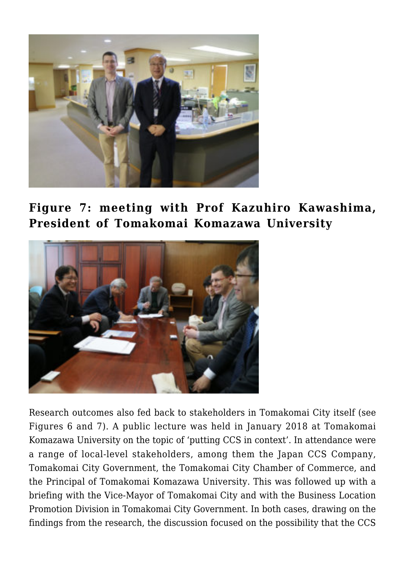

**Figure 7: meeting with Prof Kazuhiro Kawashima, President of Tomakomai Komazawa University**



Research outcomes also fed back to stakeholders in Tomakomai City itself (see Figures 6 and 7). A public lecture was held in January 2018 at Tomakomai Komazawa University on the topic of 'putting CCS in context'. In attendance were a range of local-level stakeholders, among them the Japan CCS Company, Tomakomai City Government, the Tomakomai City Chamber of Commerce, and the Principal of Tomakomai Komazawa University. This was followed up with a briefing with the Vice-Mayor of Tomakomai City and with the Business Location Promotion Division in Tomakomai City Government. In both cases, drawing on the findings from the research, the discussion focused on the possibility that the CCS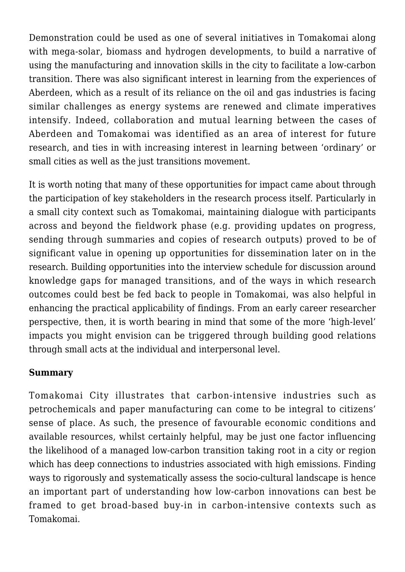Demonstration could be used as one of several initiatives in Tomakomai along with mega-solar, biomass and hydrogen developments, to build a narrative of using the manufacturing and innovation skills in the city to facilitate a low-carbon transition. There was also significant interest in learning from the experiences of Aberdeen, which as a result of its reliance on the oil and gas industries is facing similar challenges as energy systems are renewed and climate imperatives intensify. Indeed, collaboration and mutual learning between the cases of Aberdeen and Tomakomai was identified as an area of interest for future research, and ties in with increasing interest in learning between 'ordinary' or small cities as well as the just transitions movement.

It is worth noting that many of these opportunities for impact came about through the participation of key stakeholders in the research process itself. Particularly in a small city context such as Tomakomai, maintaining dialogue with participants across and beyond the fieldwork phase (e.g. providing updates on progress, sending through summaries and copies of research outputs) proved to be of significant value in opening up opportunities for dissemination later on in the research. Building opportunities into the interview schedule for discussion around knowledge gaps for managed transitions, and of the ways in which research outcomes could best be fed back to people in Tomakomai, was also helpful in enhancing the practical applicability of findings. From an early career researcher perspective, then, it is worth bearing in mind that some of the more 'high-level' impacts you might envision can be triggered through building good relations through small acts at the individual and interpersonal level.

### **Summary**

Tomakomai City illustrates that carbon-intensive industries such as petrochemicals and paper manufacturing can come to be integral to citizens' sense of place. As such, the presence of favourable economic conditions and available resources, whilst certainly helpful, may be just one factor influencing the likelihood of a managed low-carbon transition taking root in a city or region which has deep connections to industries associated with high emissions. Finding ways to rigorously and systematically assess the socio-cultural landscape is hence an important part of understanding how low-carbon innovations can best be framed to get broad-based buy-in in carbon-intensive contexts such as Tomakomai.